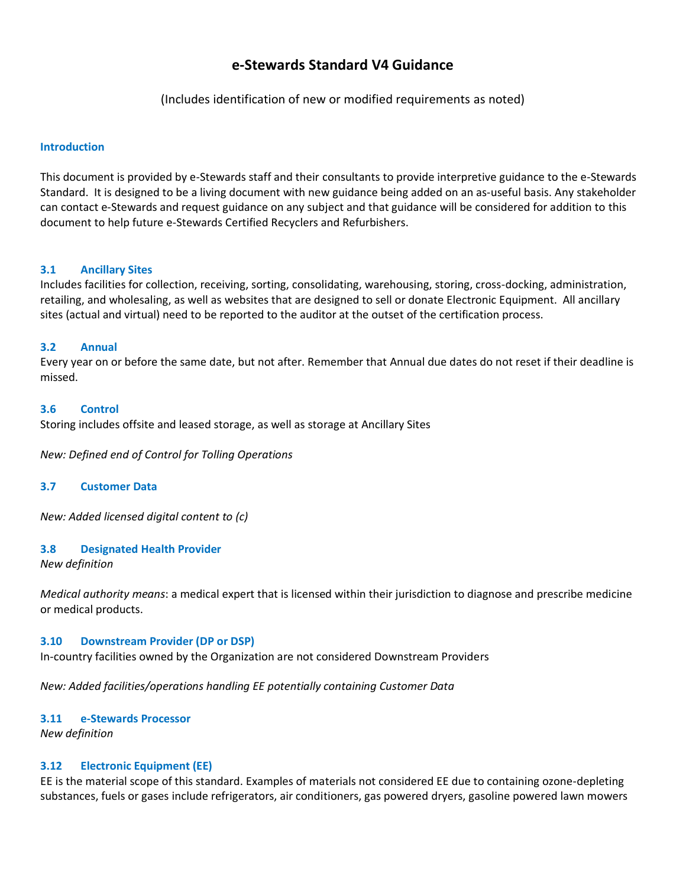# **e-Stewards Standard V4 Guidance**

(Includes identification of new or modified requirements as noted)

#### **Introduction**

This document is provided by e-Stewards staff and their consultants to provide interpretive guidance to the e-Stewards Standard. It is designed to be a living document with new guidance being added on an as-useful basis. Any stakeholder can contact e-Stewards and request guidance on any subject and that guidance will be considered for addition to this document to help future e-Stewards Certified Recyclers and Refurbishers.

#### **3.1 Ancillary Sites**

Includes facilities for collection, receiving, sorting, consolidating, warehousing, storing, cross-docking, administration, retailing, and wholesaling, as well as websites that are designed to sell or donate Electronic Equipment. All ancillary sites (actual and virtual) need to be reported to the auditor at the outset of the certification process.

#### **3.2 Annual**

Every year on or before the same date, but not after. Remember that Annual due dates do not reset if their deadline is missed.

#### **3.6 Control**

Storing includes offsite and leased storage, as well as storage at Ancillary Sites

*New: Defined end of Control for Tolling Operations*

#### **3.7 Customer Data**

*New: Added licensed digital content to (c)*

#### **3.8 Designated Health Provider**

*New definition*

*Medical authority means*: a medical expert that is licensed within their jurisdiction to diagnose and prescribe medicine or medical products.

#### **3.10 Downstream Provider (DP or DSP)**

In-country facilities owned by the Organization are not considered Downstream Providers

*New: Added facilities/operations handling EE potentially containing Customer Data* 

## **3.11 e-Stewards Processor**

*New definition*

## **3.12 Electronic Equipment (EE)**

EE is the material scope of this standard. Examples of materials not considered EE due to containing ozone-depleting substances, fuels or gases include refrigerators, air conditioners, gas powered dryers, gasoline powered lawn mowers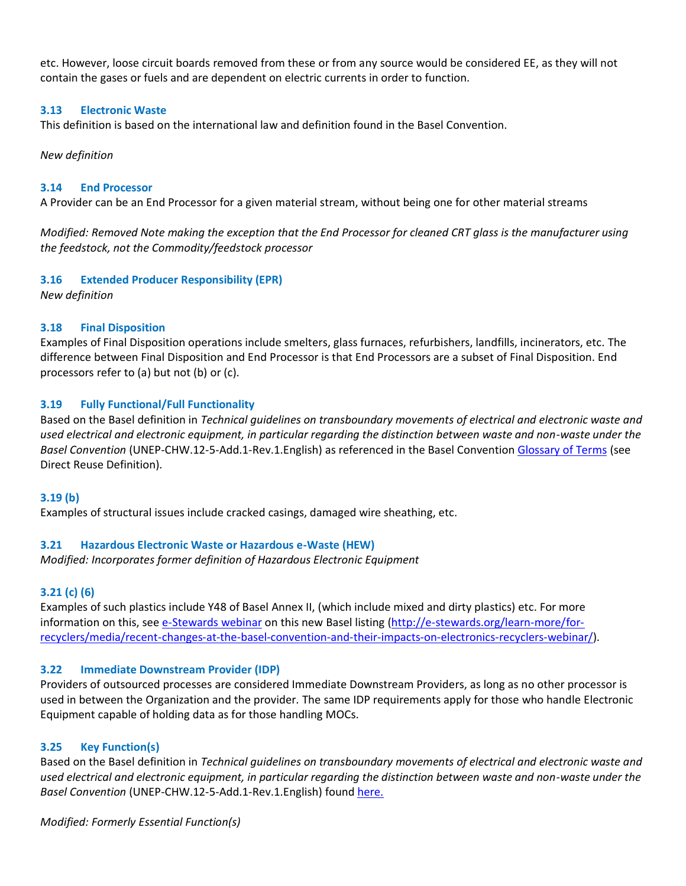etc. However, loose circuit boards removed from these or from any source would be considered EE, as they will not contain the gases or fuels and are dependent on electric currents in order to function.

## **3.13 Electronic Waste**

This definition is based on the international law and definition found in the Basel Convention.

#### *New definition*

#### **3.14 End Processor**

A Provider can be an End Processor for a given material stream, without being one for other material streams

*Modified: Removed Note making the exception that the End Processor for cleaned CRT glass is the manufacturer using the feedstock, not the Commodity/feedstock processor*

## **3.16 Extended Producer Responsibility (EPR)**

*New definition*

#### **3.18 Final Disposition**

Examples of Final Disposition operations include smelters, glass furnaces, refurbishers, landfills, incinerators, etc. The difference between Final Disposition and End Processor is that End Processors are a subset of Final Disposition. End processors refer to (a) but not (b) or (c).

#### **3.19 Fully Functional/Full Functionality**

Based on the Basel definition in *Technical guidelines on transboundary movements of electrical and electronic waste and used electrical and electronic equipment, in particular regarding the distinction between waste and non-waste under the Basel Convention* (UNEP-CHW.12-5-Add.1-Rev.1.English) as referenced in the Basel Convention [Glossary of Terms](http://www.basel.int/Implementation/LegalMatters/LegalClarity/Glossaryofterms/SmallIntersessionalWorkingGroup/tabid/3622/Default.aspx) (see Direct Reuse Definition).

#### **3.19 (b)**

Examples of structural issues include cracked casings, damaged wire sheathing, etc.

#### **3.21 Hazardous Electronic Waste or Hazardous e-Waste (HEW)**

*Modified: Incorporates former definition of Hazardous Electronic Equipment*

## **3.21 (c) (6)**

Examples of such plastics include Y48 of Basel Annex II, (which include mixed and dirty plastics) etc. For more information on this, see [e-Stewards webinar](http://e-stewards.org/learn-more/for-recyclers/media/recent-changes-at-the-basel-convention-and-their-impacts-on-electronics-recyclers-webinar/) on this new Basel listing [\(http://e-stewards.org/learn-more/for](http://e-stewards.org/learn-more/for-recyclers/media/recent-changes-at-the-basel-convention-and-their-impacts-on-electronics-recyclers-webinar/)[recyclers/media/recent-changes-at-the-basel-convention-and-their-impacts-on-electronics-recyclers-webinar/\)](http://e-stewards.org/learn-more/for-recyclers/media/recent-changes-at-the-basel-convention-and-their-impacts-on-electronics-recyclers-webinar/).

## **3.22 Immediate Downstream Provider (IDP)**

Providers of outsourced processes are considered Immediate Downstream Providers, as long as no other processor is used in between the Organization and the provider. The same IDP requirements apply for those who handle Electronic Equipment capable of holding data as for those handling MOCs.

## **3.25 Key Function(s)**

Based on the Basel definition in *Technical guidelines on transboundary movements of electrical and electronic waste and used electrical and electronic equipment, in particular regarding the distinction between waste and non-waste under the Basel Convention* (UNEP-CHW.12-5-Add.1-Rev.1.English) found [here.](http://www.basel.int/Implementation/TechnicalAssistance/Partnerships/PACE/PACEGuidelines,ManualandReports/tabid/3247/Default.aspx)

*Modified: Formerly Essential Function(s)*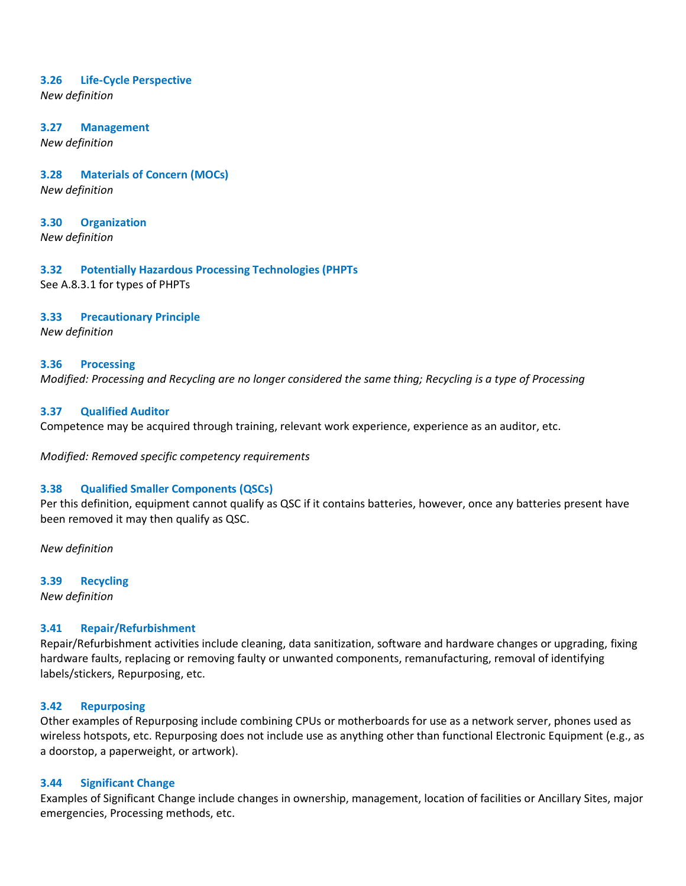#### **3.26 Life-Cycle Perspective**

*New definition*

#### **3.27 Management**

*New definition*

#### **3.28 Materials of Concern (MOCs)**

*New definition*

# **3.30 Organization**

*New definition*

## **3.32 Potentially Hazardous Processing Technologies (PHPTs**

See A.8.3.1 for types of PHPTs

## **3.33 Precautionary Principle**

*New definition*

#### **3.36 Processing**

*Modified: Processing and Recycling are no longer considered the same thing; Recycling is a type of Processing*

## **3.37 Qualified Auditor**

Competence may be acquired through training, relevant work experience, experience as an auditor, etc.

*Modified: Removed specific competency requirements*

## **3.38 Qualified Smaller Components (QSCs)**

Per this definition, equipment cannot qualify as QSC if it contains batteries, however, once any batteries present have been removed it may then qualify as QSC.

*New definition*

## **3.39 Recycling**

*New definition*

## **3.41 Repair/Refurbishment**

Repair/Refurbishment activities include cleaning, data sanitization, software and hardware changes or upgrading, fixing hardware faults, replacing or removing faulty or unwanted components, remanufacturing, removal of identifying labels/stickers, Repurposing, etc.

## **3.42 Repurposing**

Other examples of Repurposing include combining CPUs or motherboards for use as a network server, phones used as wireless hotspots, etc. Repurposing does not include use as anything other than functional Electronic Equipment (e.g., as a doorstop, a paperweight, or artwork).

## **3.44 Significant Change**

Examples of Significant Change include changes in ownership, management, location of facilities or Ancillary Sites, major emergencies, Processing methods, etc.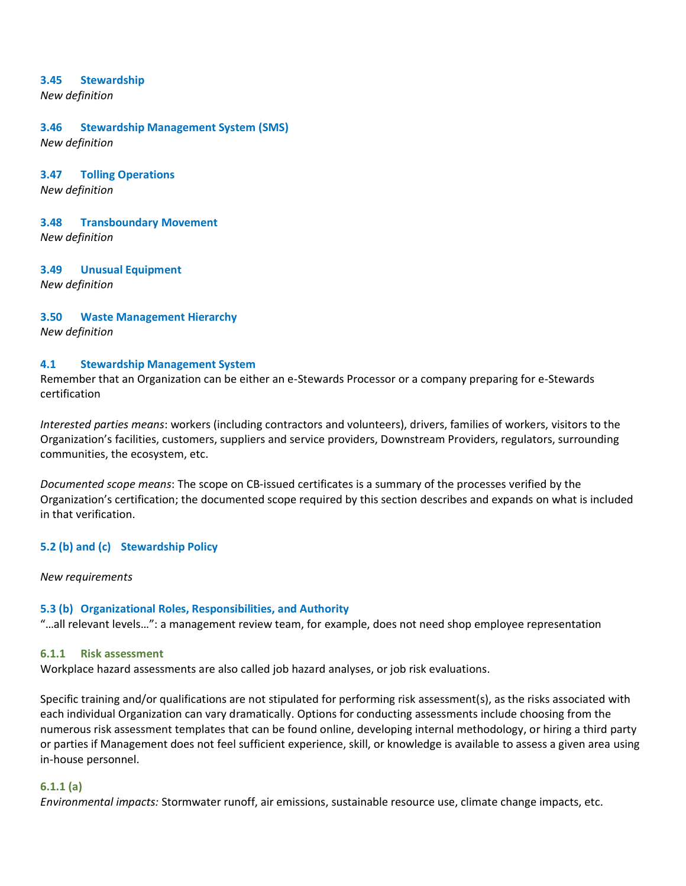#### **3.45 Stewardship**

*New definition*

#### **3.46 Stewardship Management System (SMS)**

*New definition*

#### **3.47 Tolling Operations**

*New definition*

#### **3.48 Transboundary Movement**

*New definition*

# **3.49 Unusual Equipment**

*New definition*

## **3.50 Waste Management Hierarchy**

*New definition*

#### **4.1 Stewardship Management System**

Remember that an Organization can be either an e-Stewards Processor or a company preparing for e-Stewards certification

*Interested parties means*: workers (including contractors and volunteers), drivers, families of workers, visitors to the Organization's facilities, customers, suppliers and service providers, Downstream Providers, regulators, surrounding communities, the ecosystem, etc.

*Documented scope means*: The scope on CB-issued certificates is a summary of the processes verified by the Organization's certification; the documented scope required by this section describes and expands on what is included in that verification.

## **5.2 (b) and (c) Stewardship Policy**

#### *New requirements*

## **5.3 (b) Organizational Roles, Responsibilities, and Authority**

"…all relevant levels…": a management review team, for example, does not need shop employee representation

#### **6.1.1 Risk assessment**

Workplace hazard assessments are also called job hazard analyses, or job risk evaluations.

Specific training and/or qualifications are not stipulated for performing risk assessment(s), as the risks associated with each individual Organization can vary dramatically. Options for conducting assessments include choosing from the numerous risk assessment templates that can be found online, developing internal methodology, or hiring a third party or parties if Management does not feel sufficient experience, skill, or knowledge is available to assess a given area using in-house personnel.

#### **6.1.1 (a)**

*Environmental impacts:* Stormwater runoff, air emissions, sustainable resource use, climate change impacts, etc.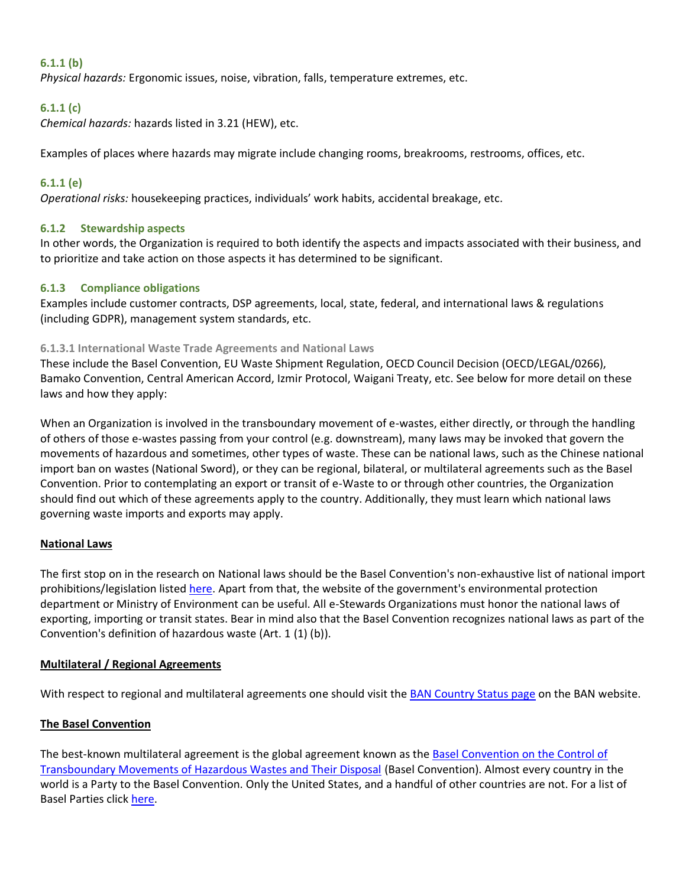## **6.1.1 (b)**

*Physical hazards:* Ergonomic issues, noise, vibration, falls, temperature extremes, etc.

## **6.1.1 (c)**

*Chemical hazards:* hazards listed in 3.21 (HEW), etc.

Examples of places where hazards may migrate include changing rooms, breakrooms, restrooms, offices, etc.

## **6.1.1 (e)**

*Operational risks:* housekeeping practices, individuals' work habits, accidental breakage, etc.

## **6.1.2 Stewardship aspects**

In other words, the Organization is required to both identify the aspects and impacts associated with their business, and to prioritize and take action on those aspects it has determined to be significant.

## **6.1.3 Compliance obligations**

Examples include customer contracts, DSP agreements, local, state, federal, and international laws & regulations (including GDPR), management system standards, etc.

## **6.1.3.1 International Waste Trade Agreements and National Laws**

These include the Basel Convention, EU Waste Shipment Regulation, OECD Council Decision (OECD/LEGAL/0266), Bamako Convention, Central American Accord, Izmir Protocol, Waigani Treaty, etc. See below for more detail on these laws and how they apply:

When an Organization is involved in the transboundary movement of e-wastes, either directly, or through the handling of others of those e-wastes passing from your control (e.g. downstream), many laws may be invoked that govern the movements of hazardous and sometimes, other types of waste. These can be national laws, such as the Chinese national import ban on wastes (National Sword), or they can be regional, bilateral, or multilateral agreements such as the Basel Convention. Prior to contemplating an export or transit of e-Waste to or through other countries, the Organization should find out which of these agreements apply to the country. Additionally, they must learn which national laws governing waste imports and exports may apply.

## **National Laws**

The first stop on in the research on National laws should be the Basel Convention's non-exhaustive list of national import prohibitions/legislation listed [here.](http://www.basel.int/Countries/ImportExportRestrictions/tabid/4835/Default.aspx) Apart from that, the website of the government's environmental protection department or Ministry of Environment can be useful. All e-Stewards Organizations must honor the national laws of exporting, importing or transit states. Bear in mind also that the Basel Convention recognizes national laws as part of the Convention's definition of hazardous waste (Art. 1 (1) (b)).

## **Multilateral / Regional Agreements**

With respect to regional and multilateral agreements one should visit the [BAN Country Status page](http://wiki.ban.org/Country_Status) on the BAN website.

## **The Basel Convention**

The best-known multilateral agreement is the global agreement known as the [Basel Convention on the Control of](http://www.basel.int/Portals/4/download.aspx?d=UNEP-CHW-IMPL-CONVTEXT.English.pdf)  [Transboundary Movements of Hazardous Wastes and Their Disposal](http://www.basel.int/Portals/4/download.aspx?d=UNEP-CHW-IMPL-CONVTEXT.English.pdf) (Basel Convention). Almost every country in the world is a Party to the Basel Convention. Only the United States, and a handful of other countries are not. For a list of Basel Parties click [here.](https://treaties.un.org/Pages/ViewDetails.aspx?src=TREATY&mtdsg_no=XXVII-3&chapter=27&clang=_en)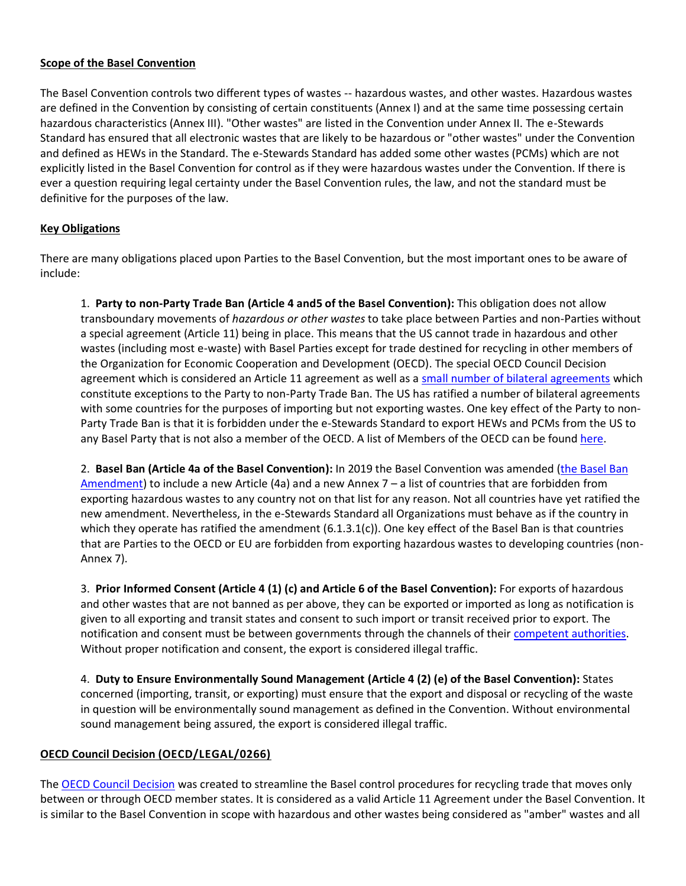## **Scope of the Basel Convention**

The Basel Convention controls two different types of wastes -- hazardous wastes, and other wastes. Hazardous wastes are defined in the Convention by consisting of certain constituents (Annex I) and at the same time possessing certain hazardous characteristics (Annex III). "Other wastes" are listed in the Convention under Annex II. The e-Stewards Standard has ensured that all electronic wastes that are likely to be hazardous or "other wastes" under the Convention and defined as HEWs in the Standard. The e-Stewards Standard has added some other wastes (PCMs) which are not explicitly listed in the Basel Convention for control as if they were hazardous wastes under the Convention. If there is ever a question requiring legal certainty under the Basel Convention rules, the law, and not the standard must be definitive for the purposes of the law.

## **Key Obligations**

There are many obligations placed upon Parties to the Basel Convention, but the most important ones to be aware of include:

1. **Party to non-Party Trade Ban (Article 4 and5 of the Basel Convention):** This obligation does not allow transboundary movements of *hazardous or other wastes* to take place between Parties and non-Parties without a special agreement (Article 11) being in place. This means that the US cannot trade in hazardous and other wastes (including most e-waste) with Basel Parties except for trade destined for recycling in other members of the Organization for Economic Cooperation and Development (OECD). The special OECD Council Decision agreement which is considered an Article 11 agreement as well as a [small number of bilateral agreements](https://www.epa.gov/hwgenerators/international-agreements-transboundary-shipments-hazardous-waste#bilateral) which constitute exceptions to the Party to non-Party Trade Ban. The US has ratified a number of bilateral agreements with some countries for the purposes of importing but not exporting wastes. One key effect of the Party to non-Party Trade Ban is that it is forbidden under the e-Stewards Standard to export HEWs and PCMs from the US to any Basel Party that is not also a member of the OECD. A list of Members of the OECD can be found [here.](http://www.oecd.org/about/document/list-oecd-member-countries.htm)

2. **Basel Ban (Article 4a of the Basel Convention):** In 2019 the Basel Convention was amended [\(the Basel Ban](http://www.basel.int/Portals/4/Download.aspx?d=UNEP-CHW-COP.3-BC-III-1.English.pdf)  [Amendment\)](http://www.basel.int/Portals/4/Download.aspx?d=UNEP-CHW-COP.3-BC-III-1.English.pdf) to include a new Article (4a) and a new Annex 7 – a list of countries that are forbidden from exporting hazardous wastes to any country not on that list for any reason. Not all countries have yet ratified the new amendment. Nevertheless, in the e-Stewards Standard all Organizations must behave as if the country in which they operate has ratified the amendment  $(6.1.3.1(c))$ . One key effect of the Basel Ban is that countries that are Parties to the OECD or EU are forbidden from exporting hazardous wastes to developing countries (non-Annex 7).

3. **Prior Informed Consent (Article 4 (1) (c) and Article 6 of the Basel Convention):** For exports of hazardous and other wastes that are not banned as per above, they can be exported or imported as long as notification is given to all exporting and transit states and consent to such import or transit received prior to export. The notification and consent must be between governments through the channels of their [competent authorities.](http://www.basel.int/Countries/CountryContacts/tabid/1342/Default.aspx) Without proper notification and consent, the export is considered illegal traffic.

4. **Duty to Ensure Environmentally Sound Management (Article 4 (2) (e) of the Basel Convention):** States concerned (importing, transit, or exporting) must ensure that the export and disposal or recycling of the waste in question will be environmentally sound management as defined in the Convention. Without environmental sound management being assured, the export is considered illegal traffic.

## **OECD Council Decision (OECD/LEGAL/0266)**

The [OECD Council Decision](https://legalinstruments.oecd.org/en/instruments/OECD-LEGAL-0266) was created to streamline the Basel control procedures for recycling trade that moves only between or through OECD member states. It is considered as a valid Article 11 Agreement under the Basel Convention. It is similar to the Basel Convention in scope with hazardous and other wastes being considered as "amber" wastes and all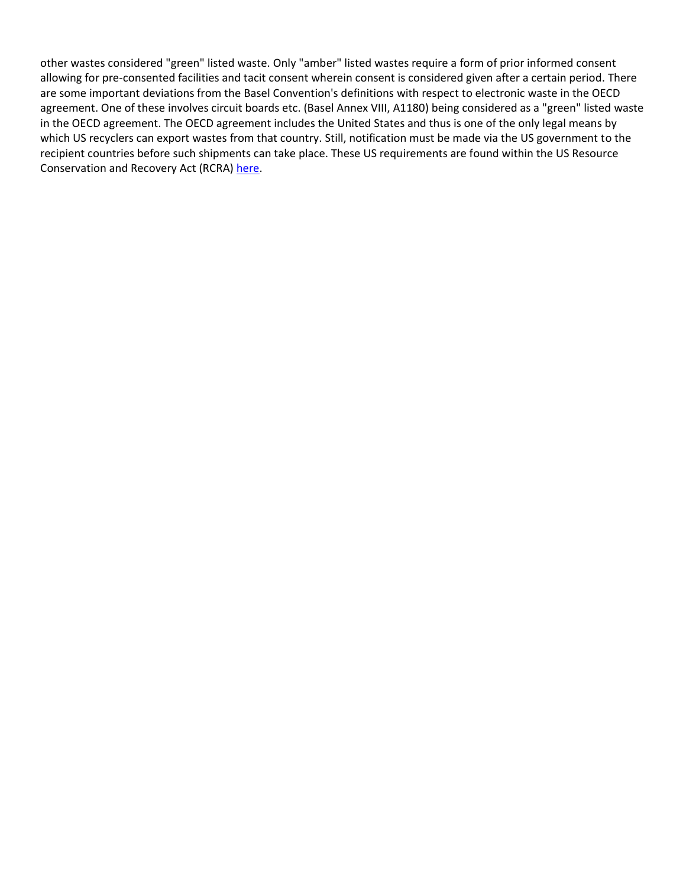other wastes considered "green" listed waste. Only "amber" listed wastes require a form of prior informed consent allowing for pre-consented facilities and tacit consent wherein consent is considered given after a certain period. There are some important deviations from the Basel Convention's definitions with respect to electronic waste in the OECD agreement. One of these involves circuit boards etc. (Basel Annex VIII, A1180) being considered as a "green" listed waste in the OECD agreement. The OECD agreement includes the United States and thus is one of the only legal means by which US recyclers can export wastes from that country. Still, notification must be made via the US government to the recipient countries before such shipments can take place. These US requirements are found within the US Resource Conservation and Recovery Act (RCRA) [here.](https://www.govinfo.gov/content/pkg/CFR-2016-title40-vol28/pdf/CFR-2016-title40-vol28-part262.pdf)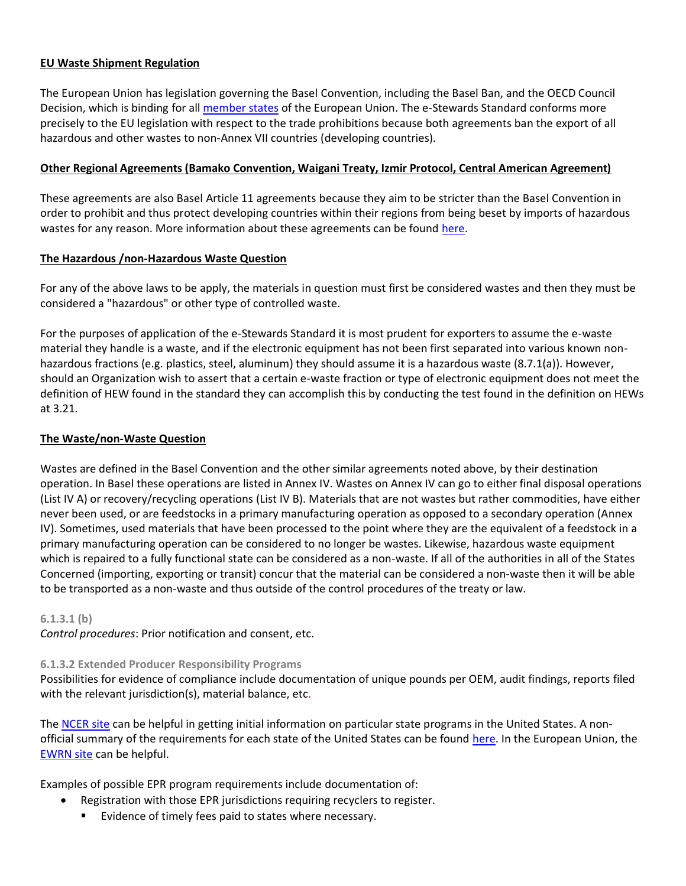## **EU Waste Shipment Regulation**

The European Union has legislation governing the Basel Convention, including the Basel Ban, and the OECD Council Decision, which is binding for all [member states](https://europa.eu/european-union/about-eu/countries_en) of the European Union. The e-Stewards Standard conforms more precisely to the EU legislation with respect to the trade prohibitions because both agreements ban the export of all hazardous and other wastes to non-Annex VII countries (developing countries).

#### **Other Regional Agreements (Bamako Convention, Waigani Treaty, Izmir Protocol, Central American Agreement)**

These agreements are also Basel Article 11 agreements because they aim to be stricter than the Basel Convention in order to prohibit and thus protect developing countries within their regions from being beset by imports of hazardous wastes for any reason. More information about these agreements can be found [here.](http://wiki.ban.org/Treaties_and_International_Agreements)

## **The Hazardous /non-Hazardous Waste Question**

For any of the above laws to be apply, the materials in question must first be considered wastes and then they must be considered a "hazardous" or other type of controlled waste.

For the purposes of application of the e-Stewards Standard it is most prudent for exporters to assume the e-waste material they handle is a waste, and if the electronic equipment has not been first separated into various known nonhazardous fractions (e.g. plastics, steel, aluminum) they should assume it is a hazardous waste (8.7.1(a)). However, should an Organization wish to assert that a certain e-waste fraction or type of electronic equipment does not meet the definition of HEW found in the standard they can accomplish this by conducting the test found in the definition on HEWs at 3.21.

## **The Waste/non-Waste Question**

Wastes are defined in the Basel Convention and the other similar agreements noted above, by their destination operation. In Basel these operations are listed in Annex IV. Wastes on Annex IV can go to either final disposal operations (List IV A) or recovery/recycling operations (List IV B). Materials that are not wastes but rather commodities, have either never been used, or are feedstocks in a primary manufacturing operation as opposed to a secondary operation (Annex IV). Sometimes, used materials that have been processed to the point where they are the equivalent of a feedstock in a primary manufacturing operation can be considered to no longer be wastes. Likewise, hazardous waste equipment which is repaired to a fully functional state can be considered as a non-waste. If all of the authorities in all of the States Concerned (importing, exporting or transit) concur that the material can be considered a non-waste then it will be able to be transported as a non-waste and thus outside of the control procedures of the treaty or law.

#### **6.1.3.1 (b)**

*Control procedures*: Prior notification and consent, etc.

## **6.1.3.2 Extended Producer Responsibility Programs**

Possibilities for evidence of compliance include documentation of unique pounds per OEM, audit findings, reports filed with the relevant jurisdiction(s), material balance, etc.

The [NCER site](http://www.electronicsrecycling.org/?page_id=39) can be helpful in getting initial information on particular state programs in the United States. A nonofficial summary of the requirements for each state of the United States can be found [here.](http://www.electronicstakeback.com/promote-good-laws/state-legislation/) In the European Union, the [EWRN site](https://www.ewrn.org/) can be helpful.

Examples of possible EPR program requirements include documentation of:

- Registration with those EPR jurisdictions requiring recyclers to register.
	- Evidence of timely fees paid to states where necessary.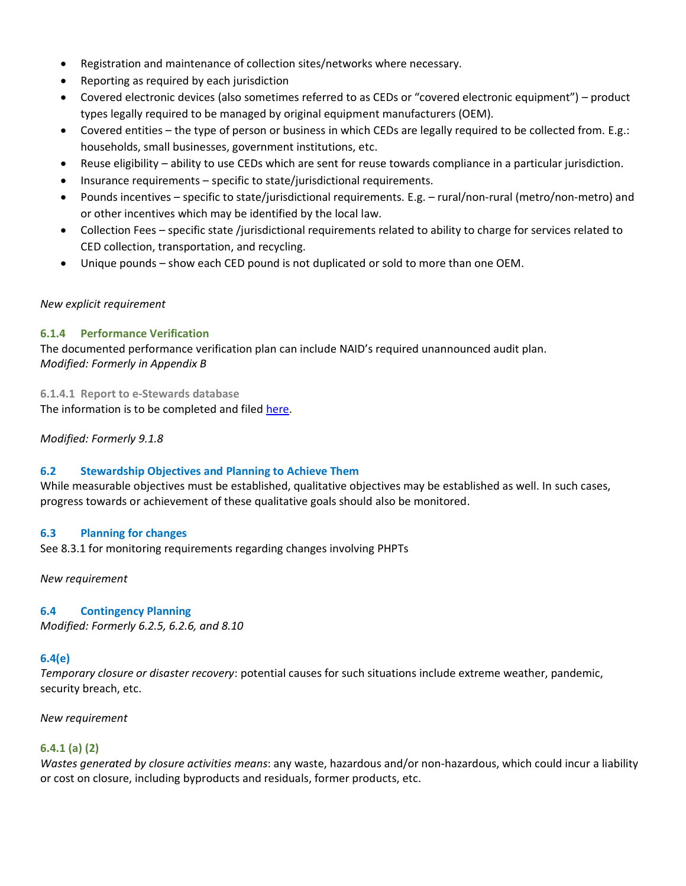- Registration and maintenance of collection sites/networks where necessary.
- Reporting as required by each jurisdiction
- Covered electronic devices (also sometimes referred to as CEDs or "covered electronic equipment") product types legally required to be managed by original equipment manufacturers (OEM).
- Covered entities the type of person or business in which CEDs are legally required to be collected from. E.g.: households, small businesses, government institutions, etc.
- Reuse eligibility ability to use CEDs which are sent for reuse towards compliance in a particular jurisdiction.
- Insurance requirements specific to state/jurisdictional requirements.
- Pounds incentives specific to state/jurisdictional requirements. E.g. rural/non-rural (metro/non-metro) and or other incentives which may be identified by the local law.
- Collection Fees specific state /jurisdictional requirements related to ability to charge for services related to CED collection, transportation, and recycling.
- Unique pounds show each CED pound is not duplicated or sold to more than one OEM.

## *New explicit requirement*

## **6.1.4 Performance Verification**

The documented performance verification plan can include NAID's required unannounced audit plan. *Modified: Formerly in Appendix B*

**6.1.4.1 Report to e-Stewards database**  The information is to be completed and filed [here.](http://e-stewards.org/learn-more/for-recyclers/forms/e-stewards-recyclers-annual-database-report/)

## *Modified: Formerly 9.1.8*

## **6.2 Stewardship Objectives and Planning to Achieve Them**

While measurable objectives must be established, qualitative objectives may be established as well. In such cases, progress towards or achievement of these qualitative goals should also be monitored.

## **6.3 Planning for changes**

See 8.3.1 for monitoring requirements regarding changes involving PHPTs

*New requirement*

## **6.4 Contingency Planning**

*Modified: Formerly 6.2.5, 6.2.6, and 8.10*

## **6.4(e)**

*Temporary closure or disaster recovery*: potential causes for such situations include extreme weather, pandemic, security breach, etc.

*New requirement*

## **6.4.1 (a) (2)**

*Wastes generated by closure activities means*: any waste, hazardous and/or non-hazardous, which could incur a liability or cost on closure, including byproducts and residuals, former products, etc.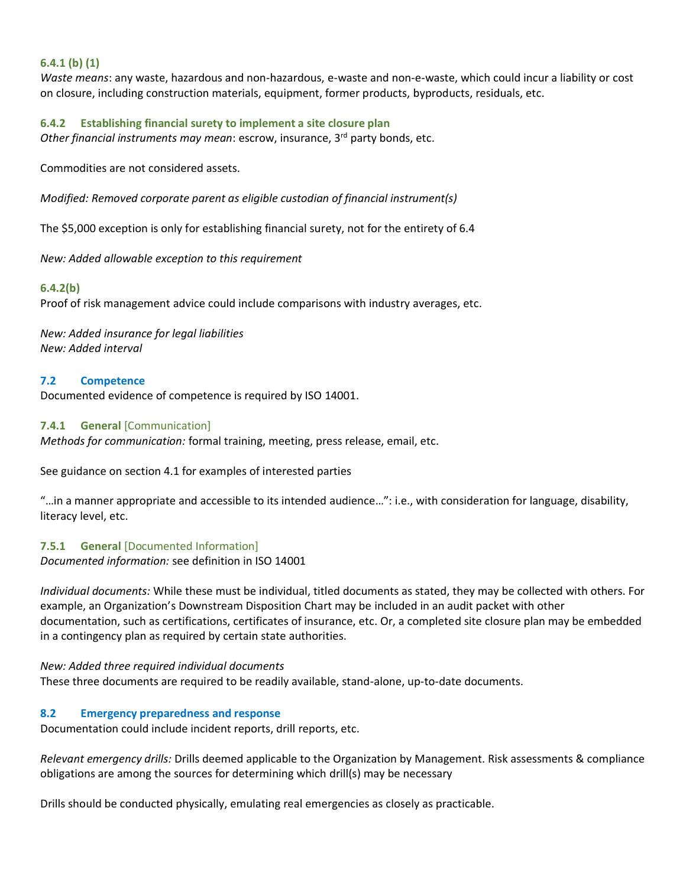## **6.4.1 (b) (1)**

*Waste means*: any waste, hazardous and non-hazardous, e-waste and non-e-waste, which could incur a liability or cost on closure, including construction materials, equipment, former products, byproducts, residuals, etc.

#### **6.4.2 Establishing financial surety to implement a site closure plan**

*Other financial instruments may mean*: escrow, insurance, 3rd party bonds, etc.

Commodities are not considered assets.

*Modified: Removed corporate parent as eligible custodian of financial instrument(s)*

The \$5,000 exception is only for establishing financial surety, not for the entirety of 6.4

*New: Added allowable exception to this requirement*

#### **6.4.2(b)**

Proof of risk management advice could include comparisons with industry averages, etc.

*New: Added insurance for legal liabilities New: Added interval*

#### **7.2 Competence**

Documented evidence of competence is required by ISO 14001.

#### **7.4.1 General** [Communication]

*Methods for communication:* formal training, meeting, press release, email, etc.

See guidance on section 4.1 for examples of interested parties

"…in a manner appropriate and accessible to its intended audience…": i.e., with consideration for language, disability, literacy level, etc.

#### **7.5.1 General** [Documented Information]

*Documented information:* see definition in ISO 14001

*Individual documents:* While these must be individual, titled documents as stated, they may be collected with others. For example, an Organization's Downstream Disposition Chart may be included in an audit packet with other documentation, such as certifications, certificates of insurance, etc. Or, a completed site closure plan may be embedded in a contingency plan as required by certain state authorities.

#### *New: Added three required individual documents*

These three documents are required to be readily available, stand-alone, up-to-date documents.

## **8.2 Emergency preparedness and response**

Documentation could include incident reports, drill reports, etc.

*Relevant emergency drills:* Drills deemed applicable to the Organization by Management. Risk assessments & compliance obligations are among the sources for determining which drill(s) may be necessary

Drills should be conducted physically, emulating real emergencies as closely as practicable.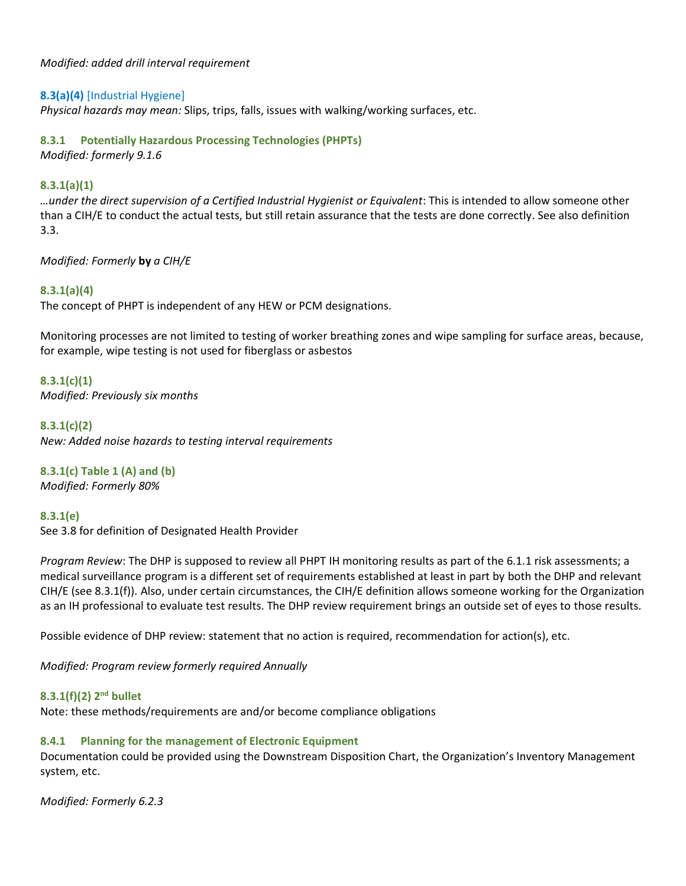*Modified: added drill interval requirement*

## **8.3(a)(4)** [Industrial Hygiene]

*Physical hazards may mean:* Slips, trips, falls, issues with walking/working surfaces, etc.

## **8.3.1 Potentially Hazardous Processing Technologies (PHPTs)**

*Modified: formerly 9.1.6*

## **8.3.1(a)(1)**

*…under the direct supervision of a Certified Industrial Hygienist or Equivalent*: This is intended to allow someone other than a CIH/E to conduct the actual tests, but still retain assurance that the tests are done correctly. See also definition 3.3.

*Modified: Formerly* **by** *a CIH/E*

## **8.3.1(a)(4)**

The concept of PHPT is independent of any HEW or PCM designations.

Monitoring processes are not limited to testing of worker breathing zones and wipe sampling for surface areas, because, for example, wipe testing is not used for fiberglass or asbestos

## **8.3.1(c)(1)**

*Modified: Previously six months* 

**8.3.1(c)(2)**

*New: Added noise hazards to testing interval requirements*

# **8.3.1(c) Table 1 (A) and (b)**

*Modified: Formerly 80%*

## **8.3.1(e)**

See 3.8 for definition of Designated Health Provider

*Program Review*: The DHP is supposed to review all PHPT IH monitoring results as part of the 6.1.1 risk assessments; a medical surveillance program is a different set of requirements established at least in part by both the DHP and relevant CIH/E (see 8.3.1(f)). Also, under certain circumstances, the CIH/E definition allows someone working for the Organization as an IH professional to evaluate test results. The DHP review requirement brings an outside set of eyes to those results.

Possible evidence of DHP review: statement that no action is required, recommendation for action(s), etc.

*Modified: Program review formerly required Annually*

## **8.3.1(f)(2) 2 nd bullet**

Note: these methods/requirements are and/or become compliance obligations

## **8.4.1 Planning for the management of Electronic Equipment**

Documentation could be provided using the Downstream Disposition Chart, the Organization's Inventory Management system, etc.

*Modified: Formerly 6.2.3*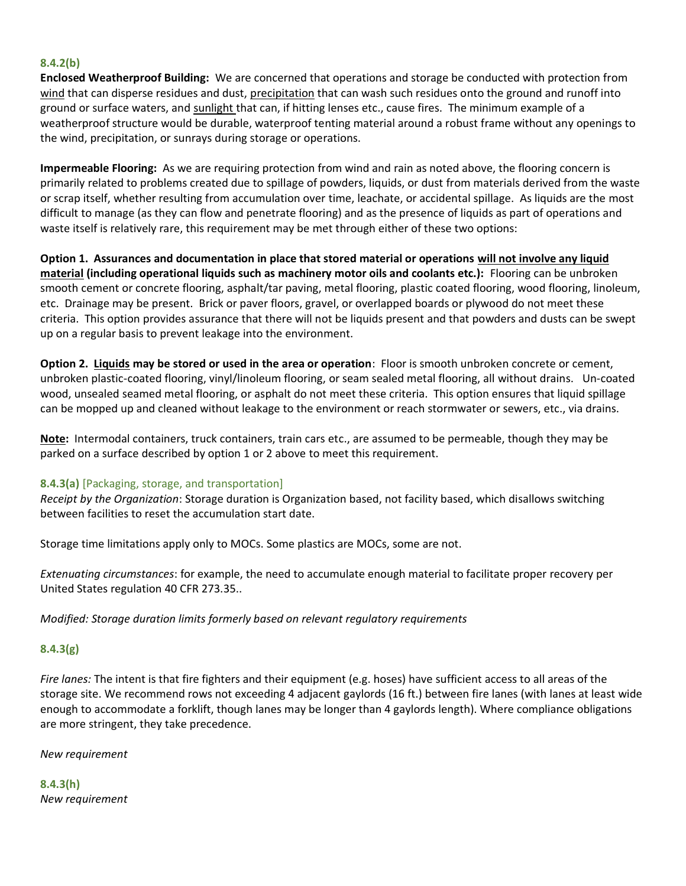#### **8.4.2(b)**

**Enclosed Weatherproof Building:** We are concerned that operations and storage be conducted with protection from wind that can disperse residues and dust, precipitation that can wash such residues onto the ground and runoff into ground or surface waters, and sunlight that can, if hitting lenses etc., cause fires. The minimum example of a weatherproof structure would be durable, waterproof tenting material around a robust frame without any openings to the wind, precipitation, or sunrays during storage or operations.

**Impermeable Flooring:** As we are requiring protection from wind and rain as noted above, the flooring concern is primarily related to problems created due to spillage of powders, liquids, or dust from materials derived from the waste or scrap itself, whether resulting from accumulation over time, leachate, or accidental spillage. As liquids are the most difficult to manage (as they can flow and penetrate flooring) and as the presence of liquids as part of operations and waste itself is relatively rare, this requirement may be met through either of these two options:

**Option 1. Assurances and documentation in place that stored material or operations will not involve any liquid material (including operational liquids such as machinery motor oils and coolants etc.):** Flooring can be unbroken smooth cement or concrete flooring, asphalt/tar paving, metal flooring, plastic coated flooring, wood flooring, linoleum, etc. Drainage may be present. Brick or paver floors, gravel, or overlapped boards or plywood do not meet these criteria. This option provides assurance that there will not be liquids present and that powders and dusts can be swept up on a regular basis to prevent leakage into the environment.

**Option 2. Liquids may be stored or used in the area or operation**: Floor is smooth unbroken concrete or cement, unbroken plastic-coated flooring, vinyl/linoleum flooring, or seam sealed metal flooring, all without drains. Un-coated wood, unsealed seamed metal flooring, or asphalt do not meet these criteria. This option ensures that liquid spillage can be mopped up and cleaned without leakage to the environment or reach stormwater or sewers, etc., via drains.

**Note:** Intermodal containers, truck containers, train cars etc., are assumed to be permeable, though they may be parked on a surface described by option 1 or 2 above to meet this requirement.

## **8.4.3(a)** [Packaging, storage, and transportation]

*Receipt by the Organization*: Storage duration is Organization based, not facility based, which disallows switching between facilities to reset the accumulation start date.

Storage time limitations apply only to MOCs. Some plastics are MOCs, some are not.

*Extenuating circumstances*: for example, the need to accumulate enough material to facilitate proper recovery per United States regulation 40 CFR 273.35..

*Modified: Storage duration limits formerly based on relevant regulatory requirements*

## **8.4.3(g)**

*Fire lanes:* The intent is that fire fighters and their equipment (e.g. hoses) have sufficient access to all areas of the storage site. We recommend rows not exceeding 4 adjacent gaylords (16 ft.) between fire lanes (with lanes at least wide enough to accommodate a forklift, though lanes may be longer than 4 gaylords length). Where compliance obligations are more stringent, they take precedence.

*New requirement*

**8.4.3(h)** *New requirement*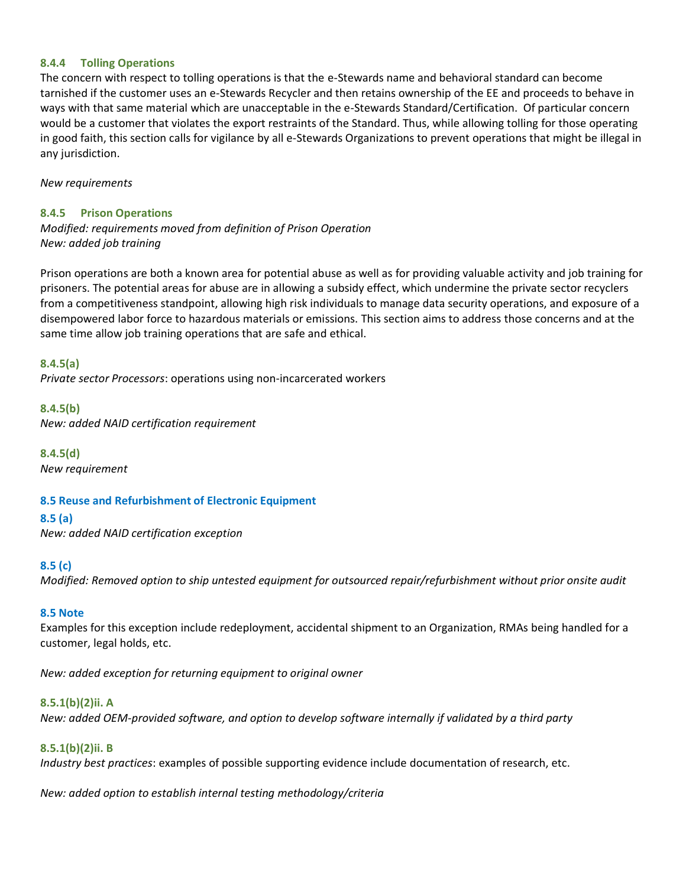#### **8.4.4 Tolling Operations**

The concern with respect to tolling operations is that the e-Stewards name and behavioral standard can become tarnished if the customer uses an e-Stewards Recycler and then retains ownership of the EE and proceeds to behave in ways with that same material which are unacceptable in the e-Stewards Standard/Certification. Of particular concern would be a customer that violates the export restraints of the Standard. Thus, while allowing tolling for those operating in good faith, this section calls for vigilance by all e-Stewards Organizations to prevent operations that might be illegal in any jurisdiction.

*New requirements*

#### **8.4.5 Prison Operations**

*Modified: requirements moved from definition of Prison Operation New: added job training*

Prison operations are both a known area for potential abuse as well as for providing valuable activity and job training for prisoners. The potential areas for abuse are in allowing a subsidy effect, which undermine the private sector recyclers from a competitiveness standpoint, allowing high risk individuals to manage data security operations, and exposure of a disempowered labor force to hazardous materials or emissions. This section aims to address those concerns and at the same time allow job training operations that are safe and ethical.

**8.4.5(a)**

*Private sector Processors*: operations using non-incarcerated workers

**8.4.5(b)** *New: added NAID certification requirement*

**8.4.5(d)** *New requirement*

## **8.5 Reuse and Refurbishment of Electronic Equipment**

**8.5 (a)**

*New: added NAID certification exception*

#### **8.5 (c)**

*Modified: Removed option to ship untested equipment for outsourced repair/refurbishment without prior onsite audit*

#### **8.5 Note**

Examples for this exception include redeployment, accidental shipment to an Organization, RMAs being handled for a customer, legal holds, etc.

*New: added exception for returning equipment to original owner*

## **8.5.1(b)(2)ii. A**

*New: added OEM-provided software, and option to develop software internally if validated by a third party*

## **8.5.1(b)(2)ii. B**

*Industry best practices*: examples of possible supporting evidence include documentation of research, etc.

*New: added option to establish internal testing methodology/criteria*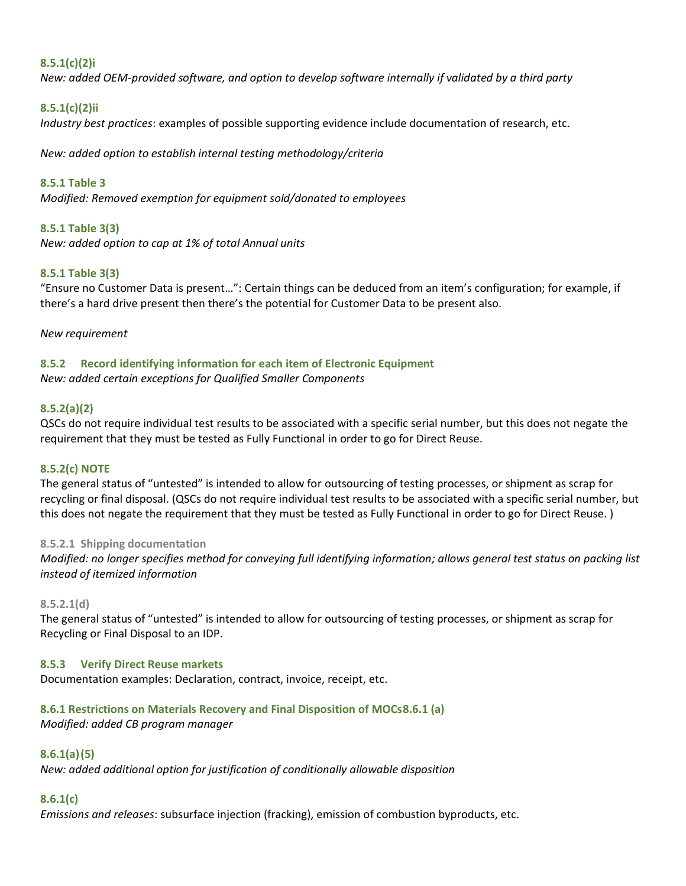## **8.5.1(c)(2)i**

*New: added OEM-provided software, and option to develop software internally if validated by a third party*

## **8.5.1(c)(2)ii**

*Industry best practices*: examples of possible supporting evidence include documentation of research, etc.

*New: added option to establish internal testing methodology/criteria*

**8.5.1 Table 3** *Modified: Removed exemption for equipment sold/donated to employees*

#### **8.5.1 Table 3(3)**

*New: added option to cap at 1% of total Annual units*

#### **8.5.1 Table 3(3)**

"Ensure no Customer Data is present…": Certain things can be deduced from an item's configuration; for example, if there's a hard drive present then there's the potential for Customer Data to be present also.

#### *New requirement*

#### **8.5.2 Record identifying information for each item of Electronic Equipment**  *New: added certain exceptions for Qualified Smaller Components*

#### **8.5.2(a)(2)**

QSCs do not require individual test results to be associated with a specific serial number, but this does not negate the requirement that they must be tested as Fully Functional in order to go for Direct Reuse.

#### **8.5.2(c) NOTE**

The general status of "untested" is intended to allow for outsourcing of testing processes, or shipment as scrap for recycling or final disposal. (QSCs do not require individual test results to be associated with a specific serial number, but this does not negate the requirement that they must be tested as Fully Functional in order to go for Direct Reuse. )

#### **8.5.2.1 Shipping documentation**

*Modified: no longer specifies method for conveying full identifying information; allows general test status on packing list instead of itemized information*

#### **8.5.2.1(d)**

The general status of "untested" is intended to allow for outsourcing of testing processes, or shipment as scrap for Recycling or Final Disposal to an IDP.

#### **8.5.3 Verify Direct Reuse markets**

Documentation examples: Declaration, contract, invoice, receipt, etc.

## **8.6.1 Restrictions on Materials Recovery and Final Disposition of MOCs8.6.1 (a)**

*Modified: added CB program manager*

#### **8.6.1(a)(5)**

*New: added additional option for justification of conditionally allowable disposition*

#### **8.6.1(c)**

*Emissions and releases*: subsurface injection (fracking), emission of combustion byproducts, etc.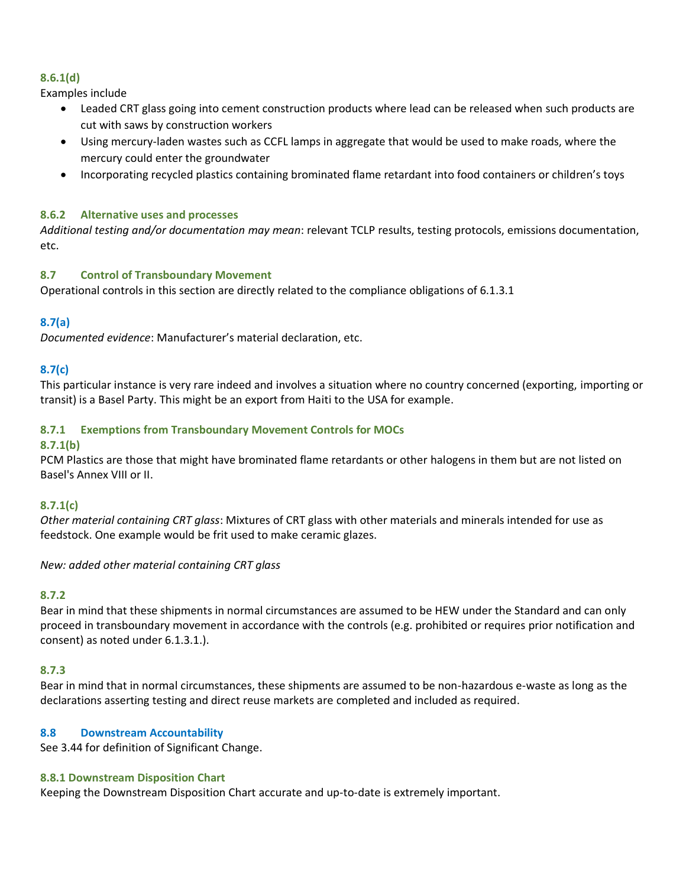## **8.6.1(d)**

Examples include

- Leaded CRT glass going into cement construction products where lead can be released when such products are cut with saws by construction workers
- Using mercury-laden wastes such as CCFL lamps in aggregate that would be used to make roads, where the mercury could enter the groundwater
- Incorporating recycled plastics containing brominated flame retardant into food containers or children's toys

## **8.6.2 Alternative uses and processes**

*Additional testing and/or documentation may mean*: relevant TCLP results, testing protocols, emissions documentation, etc.

## **8.7 Control of Transboundary Movement**

Operational controls in this section are directly related to the compliance obligations of 6.1.3.1

## **8.7(a)**

*Documented evidence*: Manufacturer's material declaration, etc.

## **8.7(c)**

This particular instance is very rare indeed and involves a situation where no country concerned (exporting, importing or transit) is a Basel Party. This might be an export from Haiti to the USA for example.

## **8.7.1 Exemptions from Transboundary Movement Controls for MOCs**

## **8.7.1(b)**

PCM Plastics are those that might have brominated flame retardants or other halogens in them but are not listed on Basel's Annex VIII or II.

## **8.7.1(c)**

*Other material containing CRT glass*: Mixtures of CRT glass with other materials and minerals intended for use as feedstock. One example would be frit used to make ceramic glazes.

*New: added other material containing CRT glass*

## **8.7.2**

Bear in mind that these shipments in normal circumstances are assumed to be HEW under the Standard and can only proceed in transboundary movement in accordance with the controls (e.g. prohibited or requires prior notification and consent) as noted under 6.1.3.1.).

## **8.7.3**

Bear in mind that in normal circumstances, these shipments are assumed to be non-hazardous e-waste as long as the declarations asserting testing and direct reuse markets are completed and included as required.

## **8.8 Downstream Accountability**

See 3.44 for definition of Significant Change.

#### **8.8.1 Downstream Disposition Chart**

Keeping the Downstream Disposition Chart accurate and up-to-date is extremely important.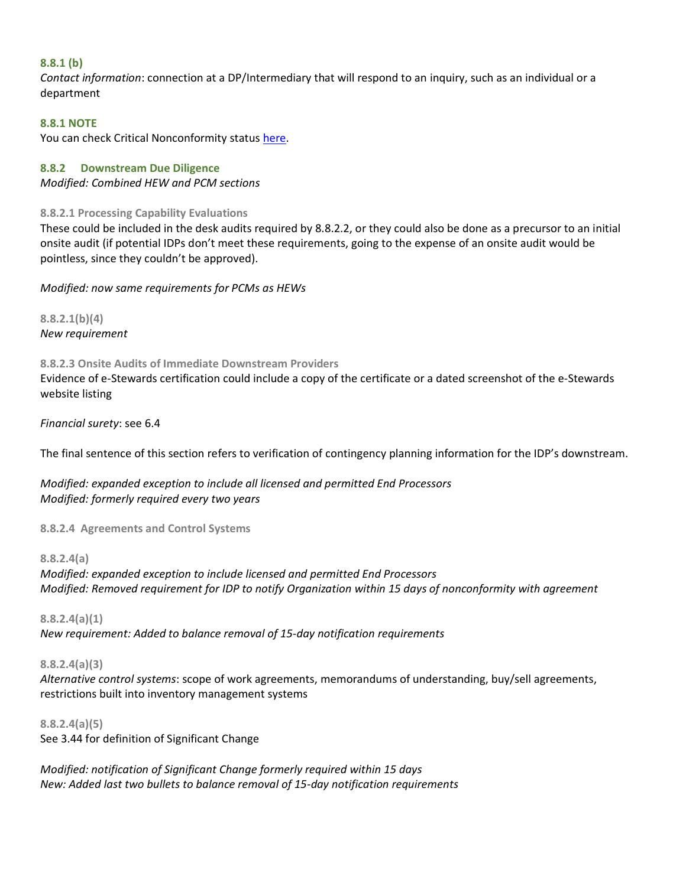#### **8.8.1 (b)**

*Contact information*: connection at a DP/Intermediary that will respond to an inquiry, such as an individual or a department

## **8.8.1 NOTE**

You can check Critical Nonconformity status [here.](http://e-stewards.org/learn-more/for-recyclers/overview/performance-verification-program/)

#### **8.8.2 Downstream Due Diligence**

*Modified: Combined HEW and PCM sections*

#### **8.8.2.1 Processing Capability Evaluations**

These could be included in the desk audits required by 8.8.2.2, or they could also be done as a precursor to an initial onsite audit (if potential IDPs don't meet these requirements, going to the expense of an onsite audit would be pointless, since they couldn't be approved).

#### *Modified: now same requirements for PCMs as HEWs*

**8.8.2.1(b)(4)** *New requirement*

#### **8.8.2.3 Onsite Audits of Immediate Downstream Providers**

Evidence of e-Stewards certification could include a copy of the certificate or a dated screenshot of the e-Stewards website listing

#### *Financial surety*: see 6.4

The final sentence of this section refers to verification of contingency planning information for the IDP's downstream.

*Modified: expanded exception to include all licensed and permitted End Processors Modified: formerly required every two years*

## **8.8.2.4 Agreements and Control Systems**

#### **8.8.2.4(a)**

*Modified: expanded exception to include licensed and permitted End Processors Modified: Removed requirement for IDP to notify Organization within 15 days of nonconformity with agreement*

## **8.8.2.4(a)(1)**

*New requirement: Added to balance removal of 15-day notification requirements*

## **8.8.2.4(a)(3)**

*Alternative control systems*: scope of work agreements, memorandums of understanding, buy/sell agreements, restrictions built into inventory management systems

## **8.8.2.4(a)(5)**

See 3.44 for definition of Significant Change

*Modified: notification of Significant Change formerly required within 15 days New: Added last two bullets to balance removal of 15-day notification requirements*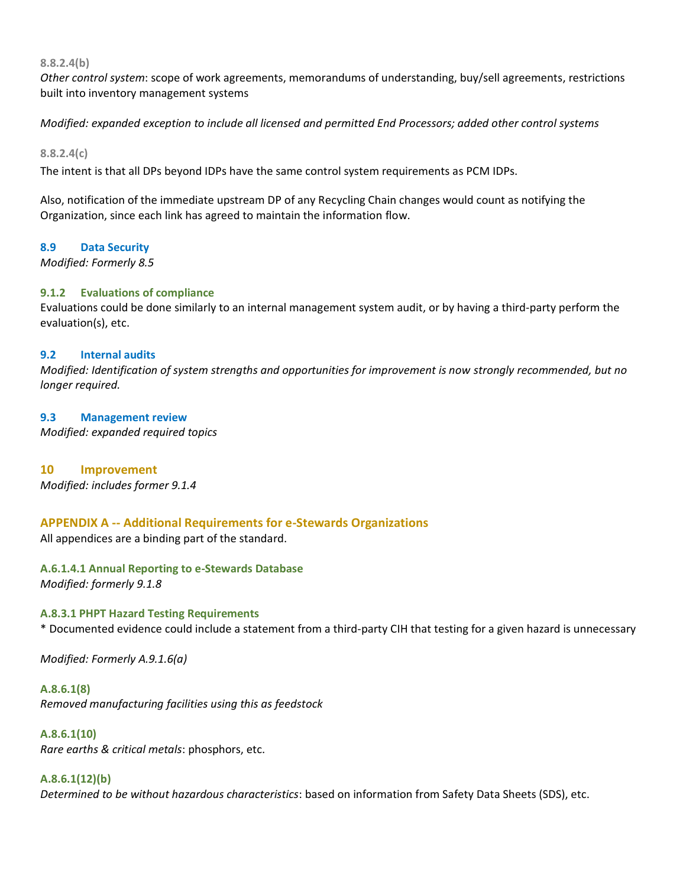**8.8.2.4(b)**

*Other control system*: scope of work agreements, memorandums of understanding, buy/sell agreements, restrictions built into inventory management systems

*Modified: expanded exception to include all licensed and permitted End Processors; added other control systems* 

**8.8.2.4(c)**

The intent is that all DPs beyond IDPs have the same control system requirements as PCM IDPs.

Also, notification of the immediate upstream DP of any Recycling Chain changes would count as notifying the Organization, since each link has agreed to maintain the information flow.

#### **8.9 Data Security**

*Modified: Formerly 8.5*

## **9.1.2 Evaluations of compliance**

Evaluations could be done similarly to an internal management system audit, or by having a third-party perform the evaluation(s), etc.

#### **9.2 Internal audits**

*Modified: Identification of system strengths and opportunities for improvement is now strongly recommended, but no longer required.* 

#### **9.3 Management review**

*Modified: expanded required topics*

## **10 Improvement**

*Modified: includes former 9.1.4*

## **APPENDIX A -- Additional Requirements for e-Stewards Organizations**

All appendices are a binding part of the standard.

## **A.6.1.4.1 Annual Reporting to e-Stewards Database**

*Modified: formerly 9.1.8*

## **A.8.3.1 PHPT Hazard Testing Requirements**

\* Documented evidence could include a statement from a third-party CIH that testing for a given hazard is unnecessary

*Modified: Formerly A.9.1.6(a)*

**A.8.6.1(8)** *Removed manufacturing facilities using this as feedstock*

#### **A.8.6.1(10)**

*Rare earths & critical metals*: phosphors, etc.

## **A.8.6.1(12)(b)**

*Determined to be without hazardous characteristics*: based on information from Safety Data Sheets (SDS), etc.